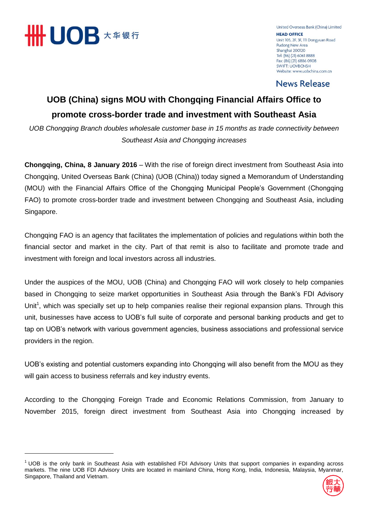

-

United Overseas Bank (China) Limited **HEAD OFFICE** Unit 105, 2F, 3F, 111 Dongyuan Road Pudong New Area Shanghai 200120 Tel: (86) (21) 6061 8888 Fax: (86) (21) 6886 0908 **SWIFT: UOVBCNSH** Website: www.uobchina.com.cn

**News Release** 

## **UOB (China) signs MOU with Chongqing Financial Affairs Office to promote cross-border trade and investment with Southeast Asia**

*UOB Chongqing Branch doubles wholesale customer base in 15 months as trade connectivity between Southeast Asia and Chongqing increases*

**Chongqing, China, 8 January 2016** – With the rise of foreign direct investment from Southeast Asia into Chongqing, United Overseas Bank (China) (UOB (China)) today signed a Memorandum of Understanding (MOU) with the Financial Affairs Office of the Chongqing Municipal People's Government (Chongqing FAO) to promote cross-border trade and investment between Chongqing and Southeast Asia, including Singapore.

Chongqing FAO is an agency that facilitates the implementation of policies and regulations within both the financial sector and market in the city. Part of that remit is also to facilitate and promote trade and investment with foreign and local investors across all industries.

Under the auspices of the MOU, UOB (China) and Chongqing FAO will work closely to help companies based in Chongqing to seize market opportunities in Southeast Asia through the Bank's FDI Advisory Unit<sup>1</sup>, which was specially set up to help companies realise their regional expansion plans. Through this unit, businesses have access to UOB's full suite of corporate and personal banking products and get to tap on UOB's network with various government agencies, business associations and professional service providers in the region.

UOB's existing and potential customers expanding into Chongqing will also benefit from the MOU as they will gain access to business referrals and key industry events.

According to the Chongqing Foreign Trade and Economic Relations Commission, from January to November 2015, foreign direct investment from Southeast Asia into Chongqing increased by

 $1$  UOB is the only bank in Southeast Asia with established FDI Advisory Units that support companies in expanding across markets. The nine UOB FDI Advisory Units are located in mainland China, Hong Kong, India, Indonesia, Malaysia, Myanmar, Singapore, Thailand and Vietnam.

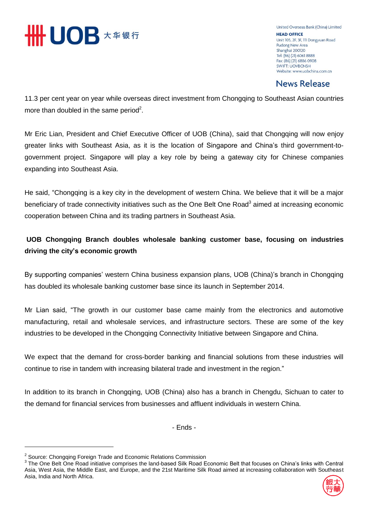

United Overseas Bank (China) Limited **HEAD OFFICE** Unit 105, 2F, 3F, 111 Dongyuan Road Pudong New Area Shanghai 200120 Tel: (86) (21) 6061 8888 Fax: (86) (21) 6886 0908 **SWIFT: UOVBCNSH** Website: www.uobchina.com.cn

## **News Release**

11.3 per cent year on year while overseas direct investment from Chongqing to Southeast Asian countries more than doubled in the same period<sup>2</sup>.

Mr Eric Lian, President and Chief Executive Officer of UOB (China), said that Chongqing will now enjoy greater links with Southeast Asia, as it is the location of Singapore and China's third government-togovernment project. Singapore will play a key role by being a gateway city for Chinese companies expanding into Southeast Asia.

He said, "Chongqing is a key city in the development of western China. We believe that it will be a major beneficiary of trade connectivity initiatives such as the One Belt One Road<sup>3</sup> aimed at increasing economic cooperation between China and its trading partners in Southeast Asia.

### **UOB Chongqing Branch doubles wholesale banking customer base, focusing on industries driving the city's economic growth**

By supporting companies' western China business expansion plans, UOB (China)'s branch in Chongqing has doubled its wholesale banking customer base since its launch in September 2014.

Mr Lian said, "The growth in our customer base came mainly from the electronics and automotive manufacturing, retail and wholesale services, and infrastructure sectors. These are some of the key industries to be developed in the Chongqing Connectivity Initiative between Singapore and China.

We expect that the demand for cross-border banking and financial solutions from these industries will continue to rise in tandem with increasing bilateral trade and investment in the region."

In addition to its branch in Chongqing, UOB (China) also has a branch in Chengdu, Sichuan to cater to the demand for financial services from businesses and affluent individuals in western China.

- Ends -

-

<sup>&</sup>lt;sup>3</sup> The One Belt One Road initiative comprises the land-based Silk Road Economic Belt that focuses on China's links with Central Asia, West Asia, the Middle East, and Europe, and the 21st Maritime Silk Road aimed at increasing collaboration with Southeast Asia, India and North Africa.



<sup>&</sup>lt;sup>2</sup> Source: Chongqing Foreign Trade and Economic Relations Commission